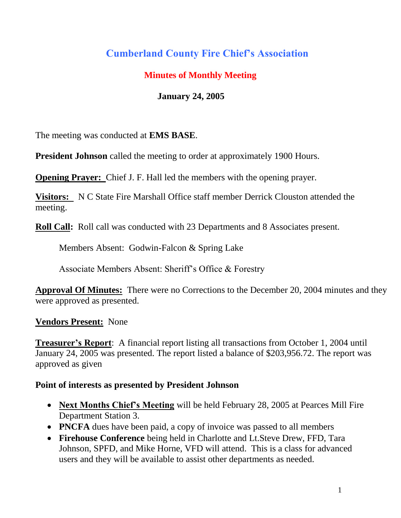# **Cumberland County Fire Chief's Association**

## **Minutes of Monthly Meeting**

## **January 24, 2005**

The meeting was conducted at **EMS BASE**.

**President Johnson** called the meeting to order at approximately 1900 Hours.

**Opening Prayer:** Chief J. F. Hall led the members with the opening prayer.

**Visitors:** N C State Fire Marshall Office staff member Derrick Clouston attended the meeting.

**Roll Call:** Roll call was conducted with 23 Departments and 8 Associates present.

Members Absent: Godwin-Falcon & Spring Lake

Associate Members Absent: Sheriff's Office & Forestry

**Approval Of Minutes:** There were no Corrections to the December 20, 2004 minutes and they were approved as presented.

**Vendors Present:** None

**Treasurer's Report**: A financial report listing all transactions from October 1, 2004 until January 24, 2005 was presented. The report listed a balance of \$203,956.72. The report was approved as given

#### **Point of interests as presented by President Johnson**

- **Next Months Chief's Meeting** will be held February 28, 2005 at Pearces Mill Fire Department Station 3.
- **PNCFA** dues have been paid, a copy of invoice was passed to all members
- **Firehouse Conference** being held in Charlotte and Lt.Steve Drew, FFD, Tara Johnson, SPFD, and Mike Horne, VFD will attend. This is a class for advanced users and they will be available to assist other departments as needed.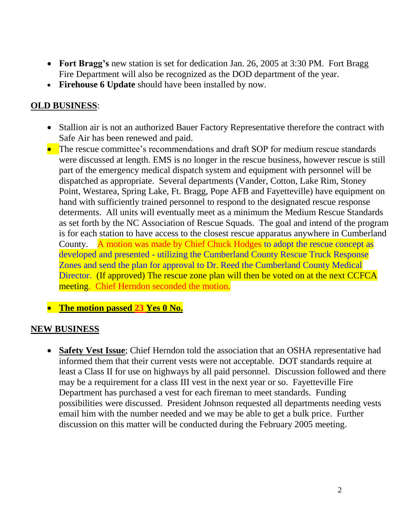- **Fort Bragg's** new station is set for dedication Jan. 26, 2005 at 3:30 PM. Fort Bragg Fire Department will also be recognized as the DOD department of the year.
- **Firehouse 6 Update** should have been installed by now.

### **OLD BUSINESS**:

- Stallion air is not an authorized Bauer Factory Representative therefore the contract with Safe Air has been renewed and paid.
- The rescue committee's recommendations and draft SOP for medium rescue standards were discussed at length. EMS is no longer in the rescue business, however rescue is still part of the emergency medical dispatch system and equipment with personnel will be dispatched as appropriate. Several departments (Vander, Cotton, Lake Rim, Stoney Point, Westarea, Spring Lake, Ft. Bragg, Pope AFB and Fayetteville) have equipment on hand with sufficiently trained personnel to respond to the designated rescue response determents. All units will eventually meet as a minimum the Medium Rescue Standards as set forth by the NC Association of Rescue Squads. The goal and intend of the program is for each station to have access to the closest rescue apparatus anywhere in Cumberland County. A motion was made by Chief Chuck Hodges to adopt the rescue concept as developed and presented - utilizing the Cumberland County Rescue Truck Response Zones and send the plan for approval to Dr. Reed the Cumberland County Medical Director. (If approved) The rescue zone plan will then be voted on at the next CCFCA meeting. Chief Herndon seconded the motion.
- **•** The motion passed 23 Yes 0 No.

#### **NEW BUSINESS**

 **Safety Vest Issue**; Chief Herndon told the association that an OSHA representative had informed them that their current vests were not acceptable. DOT standards require at least a Class II for use on highways by all paid personnel. Discussion followed and there may be a requirement for a class III vest in the next year or so. Fayetteville Fire Department has purchased a vest for each fireman to meet standards. Funding possibilities were discussed. President Johnson requested all departments needing vests email him with the number needed and we may be able to get a bulk price. Further discussion on this matter will be conducted during the February 2005 meeting.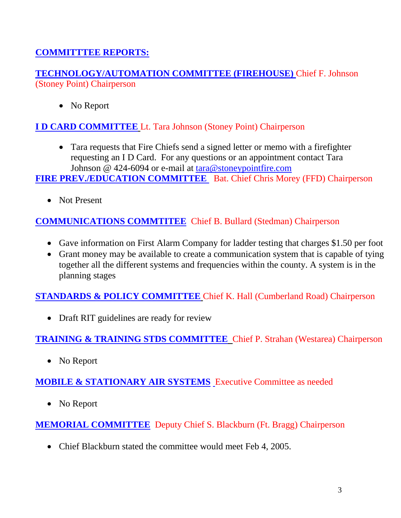## **COMMITTTEE REPORTS:**

**TECHNOLOGY/AUTOMATION COMMITTEE (FIREHOUSE)** Chief F. Johnson (Stoney Point) Chairperson

• No Report

**I D CARD COMMITTEE** Lt. Tara Johnson (Stoney Point) Chairperson

 Tara requests that Fire Chiefs send a signed letter or memo with a firefighter requesting an I D Card. For any questions or an appointment contact Tara Johnson @ 424-6094 or e-mail at [tara@stoneypointfire.com](mailto:tara@stoneypointfire.com)

**FIRE PREV./EDUCATION COMMITTEE** Bat. Chief Chris Morey (FFD) Chairperson

• Not Present

## **COMMUNICATIONS COMMTITEE** Chief B. Bullard (Stedman) Chairperson

- Gave information on First Alarm Company for ladder testing that charges \$1.50 per foot
- Grant money may be available to create a communication system that is capable of tying together all the different systems and frequencies within the county. A system is in the planning stages

## **STANDARDS & POLICY COMMITTEE** Chief K. Hall (Cumberland Road) Chairperson

• Draft RIT guidelines are ready for review

## **TRAINING & TRAINING STDS COMMITTEE** Chief P. Strahan (Westarea) Chairperson

• No Report

## **MOBILE & STATIONARY AIR SYSTEMS** Executive Committee as needed

• No Report

**MEMORIAL COMMITTEE** Deputy Chief S. Blackburn (Ft. Bragg) Chairperson

• Chief Blackburn stated the committee would meet Feb 4, 2005.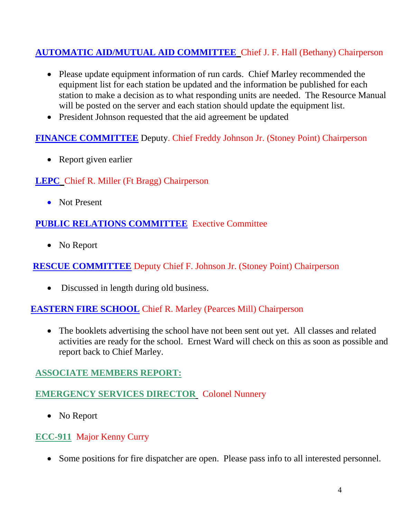## **AUTOMATIC AID/MUTUAL AID COMMITTEE** Chief J. F. Hall (Bethany) Chairperson

- Please update equipment information of run cards. Chief Marley recommended the equipment list for each station be updated and the information be published for each station to make a decision as to what responding units are needed. The Resource Manual will be posted on the server and each station should update the equipment list.
- President Johnson requested that the aid agreement be updated

#### **FINANCE COMMITTEE** Deputy. Chief Freddy Johnson Jr. (Stoney Point) Chairperson

• Report given earlier

#### **LEPC** Chief R. Miller (Ft Bragg) Chairperson

• Not Present

#### **PUBLIC RELATIONS COMMITTEE** Exective Committee

• No Report

#### **RESCUE COMMITTEE** Deputy Chief F. Johnson Jr. (Stoney Point) Chairperson

• Discussed in length during old business.

#### **EASTERN FIRE SCHOOL** Chief R. Marley (Pearces Mill) Chairperson

• The booklets advertising the school have not been sent out yet. All classes and related activities are ready for the school. Ernest Ward will check on this as soon as possible and report back to Chief Marley.

#### **ASSOCIATE MEMBERS REPORT:**

### **EMERGENCY SERVICES DIRECTOR** Colonel Nunnery

• No Report

#### **ECC-911** Major Kenny Curry

Some positions for fire dispatcher are open. Please pass info to all interested personnel.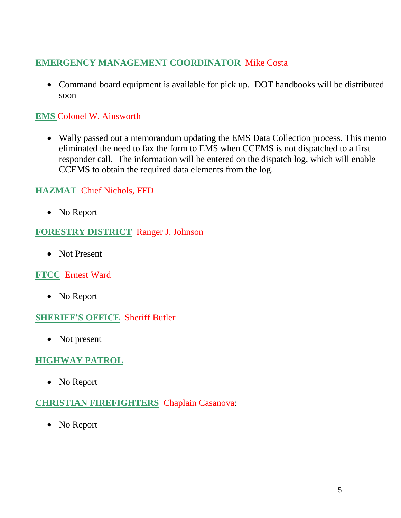## **EMERGENCY MANAGEMENT COORDINATOR** Mike Costa

 Command board equipment is available for pick up. DOT handbooks will be distributed soon

## **EMS** Colonel W. Ainsworth

 Wally passed out a memorandum updating the EMS Data Collection process. This memo eliminated the need to fax the form to EMS when CCEMS is not dispatched to a first responder call. The information will be entered on the dispatch log, which will enable CCEMS to obtain the required data elements from the log.

## **HAZMAT** Chief Nichols, FFD

• No Report

#### **FORESTRY DISTRICT** Ranger J. Johnson

• Not Present

#### **FTCC** Ernest Ward

• No Report

#### **SHERIFF'S OFFICE** Sheriff Butler

• Not present

## **HIGHWAY PATROL**

• No Report

#### **CHRISTIAN FIREFIGHTERS** Chaplain Casanova:

• No Report